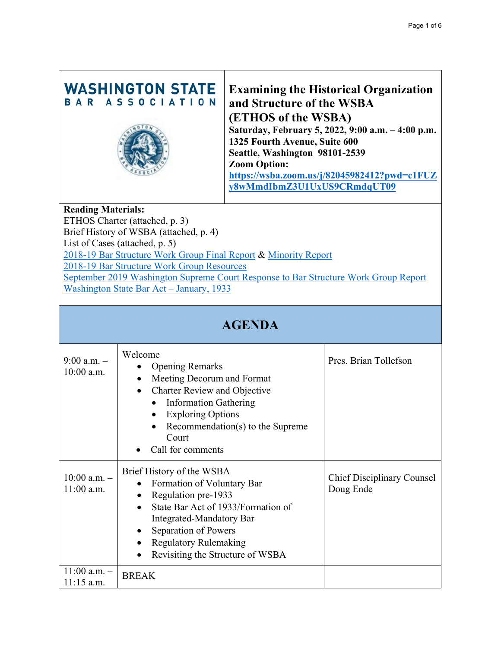## **WASHINGTON STATE** BAR ASSOCIATION



# **Examining the Historical Organization and Structure of the WSBA (ETHOS of the WSBA) Saturday, February 5, 2022, 9:00 a.m. – 4:00 p.m.**

**1325 Fourth Avenue, Suite 600 Seattle, Washington 98101-2539 Zoom Option: [https://wsba.zoom.us/j/82045982412?pwd=c1FUZ](https://wsba.zoom.us/j/82045982412?pwd=c1FUZy8wMmdIbmZ3U1UxUS9CRmdqUT09) [y8wMmdIbmZ3U1UxUS9CRmdqUT09](https://wsba.zoom.us/j/82045982412?pwd=c1FUZy8wMmdIbmZ3U1UxUS9CRmdqUT09)**

#### **Reading Materials:**

ETHOS Charter (attached, p. 3) Brief History of WSBA (attached, p. 4) List of Cases (attached, p. 5) [2018-19 Bar Structure Work Group Final Report](https://www.wsba.org/docs/default-source/legal-community/committees/bar-structure-work-group/20190904-final-report-and-recommendations-to-the-court-from-the-work-group-on-bar-structure.pdf?sfvrsn=c1710df1_2) & [Minority Report](https://www.wsba.org/docs/default-source/legal-community/committees/bar-structure-work-group/wsba-work-group---minority-report-final-2.pdf?sfvrsn=d0710df1_0) [2018-19 Bar Structure Work Group Resources](https://www.wsba.org/connect-serve/committees-boards-other-groups/bar-structure-work-group/bar-structure-work-group-resources) [September 2019 Washington Supreme Court Response to Bar Structure Work Group Report](https://www.wsba.org/docs/default-source/legal-community/committees/bar-structure-work-group/9-25-19-executive-director-and-wsba-bog-re-court-decision-on-work-group-recommendations.pdf?sfvrsn=7f3e0df1_0) [Washington State Bar Act – January, 1933](https://app.leg.wa.gov/rcw/default.aspx?cite=2.48&full=true)

## **AGENDA**

| $9:00$ a.m. $-$<br>$10:00$ a.m.  | Welcome<br><b>Opening Remarks</b><br>Meeting Decorum and Format<br>$\bullet$<br><b>Charter Review and Objective</b><br>$\bullet$<br><b>Information Gathering</b><br>$\bullet$<br><b>Exploring Options</b><br>Recommendation(s) to the Supreme<br>$\bullet$<br>Court<br>Call for comments | Pres. Brian Tollefson                          |
|----------------------------------|------------------------------------------------------------------------------------------------------------------------------------------------------------------------------------------------------------------------------------------------------------------------------------------|------------------------------------------------|
| $10:00$ a.m. $-$<br>$11:00$ a.m. | Brief History of the WSBA<br>Formation of Voluntary Bar<br>$\bullet$<br>Regulation pre-1933<br>٠<br>State Bar Act of 1933/Formation of<br>Integrated-Mandatory Bar<br>Separation of Powers<br>$\bullet$<br><b>Regulatory Rulemaking</b><br>Revisiting the Structure of WSBA              | <b>Chief Disciplinary Counsel</b><br>Doug Ende |
| $11:00$ a.m. $-$<br>$11:15$ a.m. | <b>BREAK</b>                                                                                                                                                                                                                                                                             |                                                |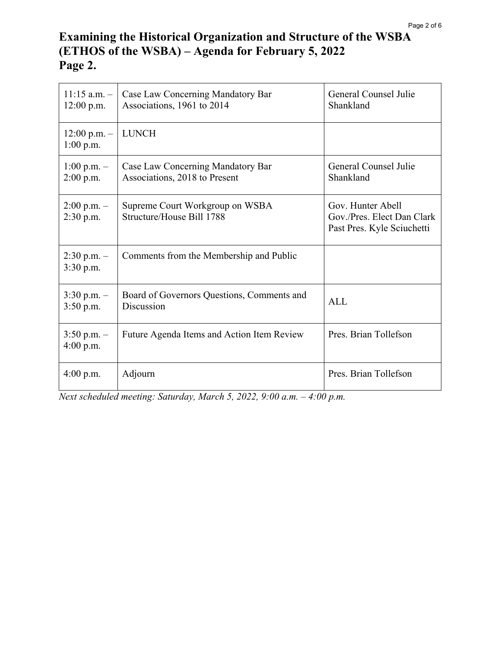# **Examining the Historical Organization and Structure of the WSBA (ETHOS of the WSBA) – Agenda for February 5, 2022 Page 2.**

| $11:15$ a.m. -<br>$12:00$ p.m.  | Case Law Concerning Mandatory Bar<br>Associations, 1961 to 2014    | General Counsel Julie<br>Shankland                                            |
|---------------------------------|--------------------------------------------------------------------|-------------------------------------------------------------------------------|
| $12:00$ p.m. $-$<br>$1:00$ p.m. | <b>LUNCH</b>                                                       |                                                                               |
| $1:00$ p.m. $-$<br>$2:00$ p.m.  | Case Law Concerning Mandatory Bar<br>Associations, 2018 to Present | General Counsel Julie<br>Shankland                                            |
| $2:00$ p.m. $-$<br>$2:30$ p.m.  | Supreme Court Workgroup on WSBA<br>Structure/House Bill 1788       | Gov. Hunter Abell<br>Gov./Pres. Elect Dan Clark<br>Past Pres. Kyle Sciuchetti |
| $2:30$ p.m. $-$<br>3:30 p.m.    | Comments from the Membership and Public                            |                                                                               |
| $3:30$ p.m. $-$<br>$3:50$ p.m.  | Board of Governors Questions, Comments and<br>Discussion           | <b>ALL</b>                                                                    |
| $3:50$ p.m. $-$<br>$4:00$ p.m.  | Future Agenda Items and Action Item Review                         | Pres. Brian Tollefson                                                         |
| $4:00$ p.m.                     | Adjourn                                                            | Pres. Brian Tollefson                                                         |

*Next scheduled meeting: Saturday, March 5, 2022, 9:00 a.m. – 4:00 p.m.*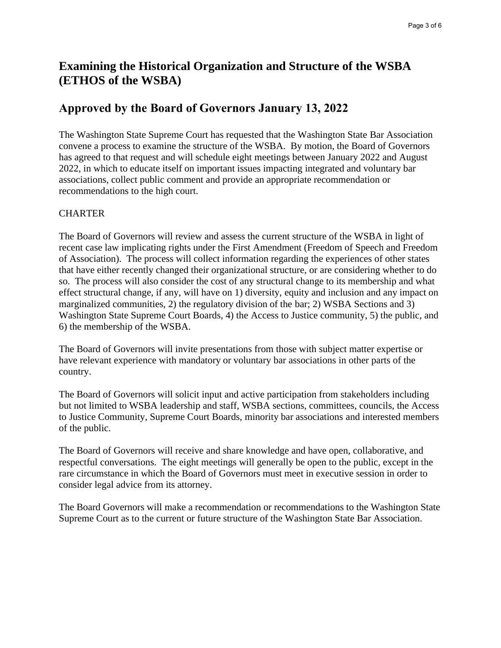# **Examining the Historical Organization and Structure of the WSBA (ETHOS of the WSBA)**

### **Approved by the Board of Governors January 13, 2022**

The Washington State Supreme Court has requested that the Washington State Bar Association convene a process to examine the structure of the WSBA. By motion, the Board of Governors has agreed to that request and will schedule eight meetings between January 2022 and August 2022, in which to educate itself on important issues impacting integrated and voluntary bar associations, collect public comment and provide an appropriate recommendation or recommendations to the high court.

#### **CHARTER**

The Board of Governors will review and assess the current structure of the WSBA in light of recent case law implicating rights under the First Amendment (Freedom of Speech and Freedom of Association). The process will collect information regarding the experiences of other states that have either recently changed their organizational structure, or are considering whether to do so. The process will also consider the cost of any structural change to its membership and what effect structural change, if any, will have on 1) diversity, equity and inclusion and any impact on marginalized communities, 2) the regulatory division of the bar; 2) WSBA Sections and 3) Washington State Supreme Court Boards, 4) the Access to Justice community, 5) the public, and 6) the membership of the WSBA.

The Board of Governors will invite presentations from those with subject matter expertise or have relevant experience with mandatory or voluntary bar associations in other parts of the country.

The Board of Governors will solicit input and active participation from stakeholders including but not limited to WSBA leadership and staff, WSBA sections, committees, councils, the Access to Justice Community, Supreme Court Boards, minority bar associations and interested members of the public.

The Board of Governors will receive and share knowledge and have open, collaborative, and respectful conversations. The eight meetings will generally be open to the public, except in the rare circumstance in which the Board of Governors must meet in executive session in order to consider legal advice from its attorney.

The Board Governors will make a recommendation or recommendations to the Washington State Supreme Court as to the current or future structure of the Washington State Bar Association.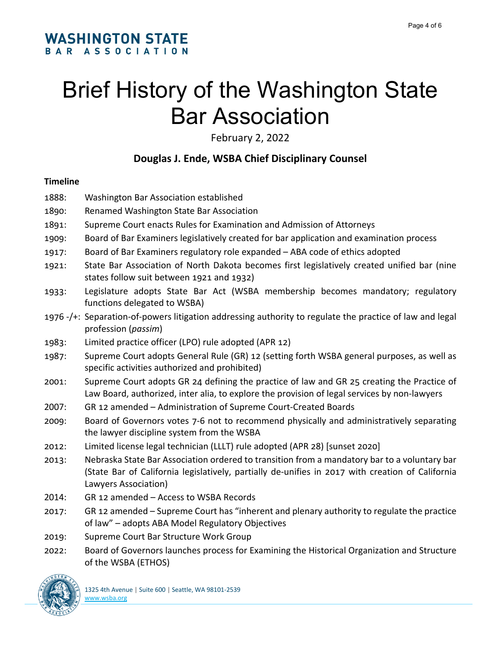# Brief History of the Washington State Bar Association

February 2, 2022

# **Douglas J. Ende, WSBA Chief Disciplinary Counsel**

#### **Timeline**

- 1888: Washington Bar Association established
- 1890: Renamed Washington State Bar Association
- 1891: Supreme Court enacts Rules for Examination and Admission of Attorneys
- 1909: Board of Bar Examiners legislatively created for bar application and examination process
- 1917: Board of Bar Examiners regulatory role expanded ABA code of ethics adopted
- 1921: State Bar Association of North Dakota becomes first legislatively created unified bar (nine states follow suit between 1921 and 1932)
- 1933: Legislature adopts State Bar Act (WSBA membership becomes mandatory; regulatory functions delegated to WSBA)
- 1976 -/+: Separation-of-powers litigation addressing authority to regulate the practice of law and legal profession (*passim*)
- 1983: Limited practice officer (LPO) rule adopted (APR 12)
- 1987: Supreme Court adopts General Rule (GR) 12 (setting forth WSBA general purposes, as well as specific activities authorized and prohibited)
- 2001: Supreme Court adopts GR 24 defining the practice of law and GR 25 creating the Practice of Law Board, authorized, inter alia, to explore the provision of legal services by non-lawyers
- 2007: GR 12 amended Administration of Supreme Court-Created Boards
- 2009: Board of Governors votes 7-6 not to recommend physically and administratively separating the lawyer discipline system from the WSBA
- 2012: Limited license legal technician (LLLT) rule adopted (APR 28) [sunset 2020]
- 2013: Nebraska State Bar Association ordered to transition from a mandatory bar to a voluntary bar (State Bar of California legislatively, partially de-unifies in 2017 with creation of California Lawyers Association)
- 2014: GR 12 amended Access to WSBA Records
- 2017: GR 12 amended Supreme Court has "inherent and plenary authority to regulate the practice of law" – adopts ABA Model Regulatory Objectives
- 2019: Supreme Court Bar Structure Work Group
- 2022: Board of Governors launches process for Examining the Historical Organization and Structure of the WSBA (ETHOS)

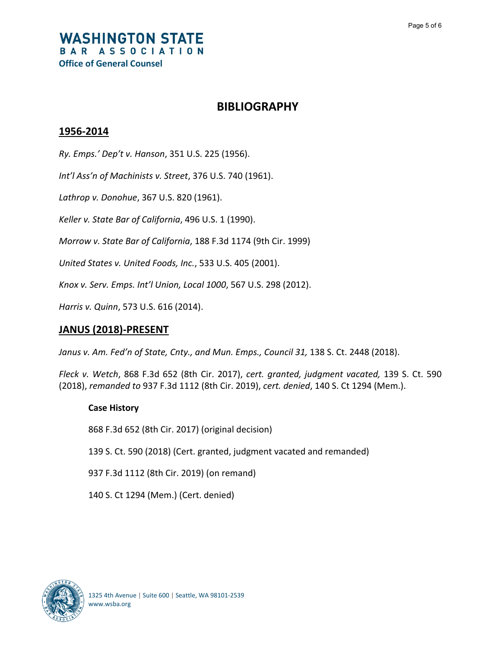#### **WASHINGTON STATE** BAR ASSOCIATION **Office of General Counsel**

#### **BIBLIOGRAPHY**

#### **1956-2014**

*Ry. Emps.' Dep't v. Hanson*, 351 U.S. 225 (1956).

*Int'l Ass'n of Machinists v. Street*, 376 U.S. 740 (1961).

*Lathrop v. Donohue*, 367 U.S. 820 (1961).

*Keller v. State Bar of California*, 496 U.S. 1 (1990).

*Morrow v. State Bar of California*, 188 F.3d 1174 (9th Cir. 1999)

*United States v. United Foods, Inc.*, 533 U.S. 405 (2001).

*Knox v. Serv. Emps. Int'l Union, Local 1000*, 567 U.S. 298 (2012).

*Harris v. Quinn*, 573 U.S. 616 (2014).

#### **JANUS (2018)-PRESENT**

Janus v. Am. Fed'n of State, Cnty., and Mun. Emps., Council 31, 138 S. Ct. 2448 (2018).

*Fleck v. Wetch*, 868 F.3d 652 (8th Cir. 2017), *cert. granted, judgment vacated,* 139 S. Ct. 590 (2018), *remanded to* 937 F.3d 1112 (8th Cir. 2019), *cert. denied*, 140 S. Ct 1294 (Mem.).

#### **Case History**

868 F.3d 652 (8th Cir. 2017) (original decision)

139 S. Ct. 590 (2018) (Cert. granted, judgment vacated and remanded)

937 F.3d 1112 (8th Cir. 2019) (on remand)

140 S. Ct 1294 (Mem.) (Cert. denied)